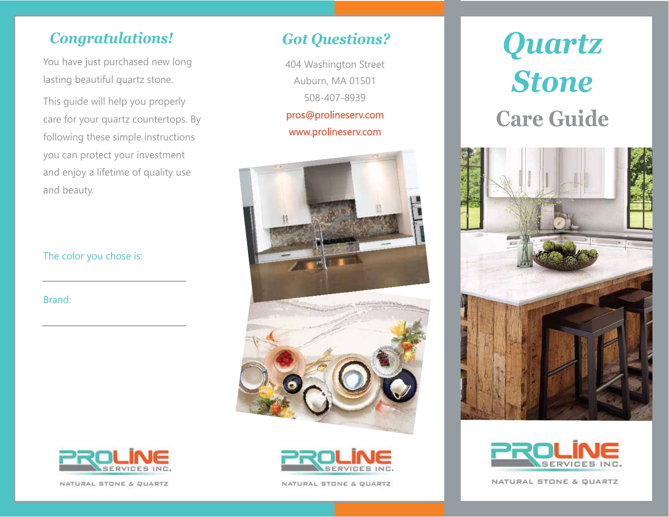## *Congratulations!*

You have just purchased new long lasting beautiful quartz stone.

This guide will help you properly care for your quartz countertops. By following these simple instructions you can protect your investment and enjoy a lifetime of quality use and beauty.

### The color you chose is:

Brand:



404 Washington Street Auburn, MA 01501 508-407-8939 pros@prolineserv.com

www.prolineserv.com







NATURAL STONE & QUARTZ



NATURAL STONE & QUARTZ

# *Quartz Stone* **Care Guide**





NATURAL STONE & QUARTZ